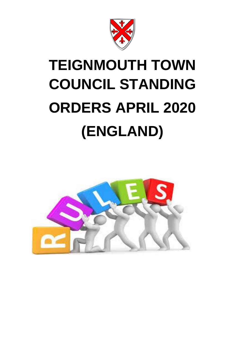

# **TEIGNMOUTH TOWN COUNCIL STANDING ORDERS APRIL 2020 (ENGLAND)**

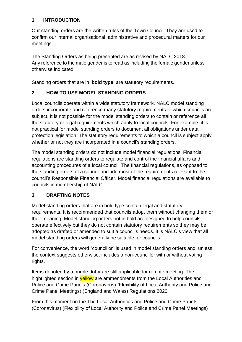## **1 INTRODUCTION**

Our standing orders are the written rules of the Town Council. They are used to confirm our internal organisational, administrative and procedural matters for our meetings.

The Standing Orders as being presented are as revised by NALC 2018. Any reference to the male gender is to read as including the female gender unless otherwise indicated.

Standing orders that are in '**bold type'** are statutory requirements.

## **2 HOW TO USE MODEL STANDING ORDERS**

Local councils operate within a wide statutory framework. NALC model standing orders incorporate and reference many statutory requirements to which councils are subject. It is not possible for the model standing orders to contain or reference all the statutory or legal requirements which apply to local councils. For example, it is not practical for model standing orders to document all obligations under data protection legislation. The statutory requirements to which a council is subject apply whether or not they are incorporated in a council's standing orders.

The model standing orders do not include model financial regulations. Financial regulations are standing orders to regulate and control the financial affairs and accounting procedures of a local council. The financial regulations, as opposed to the standing orders of a council, include most of the requirements relevant to the council's Responsible Financial Officer. Model financial regulations are available to councils in membership of NALC.

## **3 DRAFTING NOTES**

Model standing orders that are in bold type contain legal and statutory requirements. It is recommended that councils adopt them without changing them or their meaning. Model standing orders not in bold are designed to help councils operate effectively but they do not contain statutory requirements so they may be adopted as drafted or amended to suit a council's needs. It is NALC's view that all model standing orders will generally be suitable for councils.

For convenience, the word "councillor" is used in model standing orders and, unless the context suggests otherwise, includes a non-councillor with or without voting rights.

Items denoted by a purple dot ● are still applicable for remote meeting. The hightlighted section in **yellow** are ammendments from the Local Authorities and Police and Crime Panels (Coronavirus) (Flexibility of Local Authority and Police and Crime Panel Meetings) (England and Wales) Regulations 2020

From this moment on the The Local Authorities and Police and Crime Panels (Coronavirus) (Flexibility of Local Authority and Police and Crime Panel Meetings)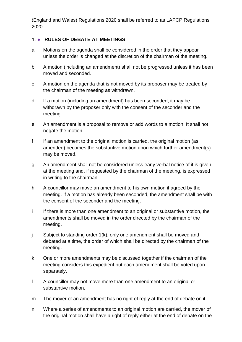(England and Wales) Regulations 2020 shall be referred to as LAPCP Regulations 2020

#### 1. • RULES OF DEBATE AT MEETINGS

- a Motions on the agenda shall be considered in the order that they appear unless the order is changed at the discretion of the chairman of the meeting.
- b A motion (including an amendment) shall not be progressed unless it has been moved and seconded.
- c A motion on the agenda that is not moved by its proposer may be treated by the chairman of the meeting as withdrawn.
- d If a motion (including an amendment) has been seconded, it may be withdrawn by the proposer only with the consent of the seconder and the meeting.
- e An amendment is a proposal to remove or add words to a motion. It shall not negate the motion.
- f If an amendment to the original motion is carried, the original motion (as amended) becomes the substantive motion upon which further amendment(s) may be moved.
- g An amendment shall not be considered unless early verbal notice of it is given at the meeting and, if requested by the chairman of the meeting, is expressed in writing to the chairman.
- h A councillor may move an amendment to his own motion if agreed by the meeting. If a motion has already been seconded, the amendment shall be with the consent of the seconder and the meeting.
- i If there is more than one amendment to an original or substantive motion, the amendments shall be moved in the order directed by the chairman of the meeting.
- j Subject to standing order 1(k), only one amendment shall be moved and debated at a time, the order of which shall be directed by the chairman of the meeting.
- k One or more amendments may be discussed together if the chairman of the meeting considers this expedient but each amendment shall be voted upon separately.
- l A councillor may not move more than one amendment to an original or substantive motion.
- m The mover of an amendment has no right of reply at the end of debate on it.
- n Where a series of amendments to an original motion are carried, the mover of the original motion shall have a right of reply either at the end of debate on the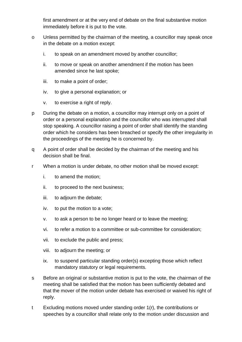first amendment or at the very end of debate on the final substantive motion immediately before it is put to the vote.

- o Unless permitted by the chairman of the meeting, a councillor may speak once in the debate on a motion except:
	- i. to speak on an amendment moved by another councillor;
	- ii. to move or speak on another amendment if the motion has been amended since he last spoke;
	- iii. to make a point of order;
	- iv. to give a personal explanation; or
	- v. to exercise a right of reply.
- p During the debate on a motion, a councillor may interrupt only on a point of order or a personal explanation and the councillor who was interrupted shall stop speaking. A councillor raising a point of order shall identify the standing order which he considers has been breached or specify the other irregularity in the proceedings of the meeting he is concerned by.
- q A point of order shall be decided by the chairman of the meeting and his decision shall be final.
- r When a motion is under debate, no other motion shall be moved except:
	- i. to amend the motion;
	- ii. to proceed to the next business;
	- iii. to adjourn the debate;
	- iv. to put the motion to a vote;
	- v. to ask a person to be no longer heard or to leave the meeting;
	- vi. to refer a motion to a committee or sub-committee for consideration;
	- vii. to exclude the public and press;
	- viii. to adjourn the meeting; or
	- ix. to suspend particular standing order(s) excepting those which reflect mandatory statutory or legal requirements.
- s Before an original or substantive motion is put to the vote, the chairman of the meeting shall be satisfied that the motion has been sufficiently debated and that the mover of the motion under debate has exercised or waived his right of reply.
- t Excluding motions moved under standing order 1(r), the contributions or speeches by a councillor shall relate only to the motion under discussion and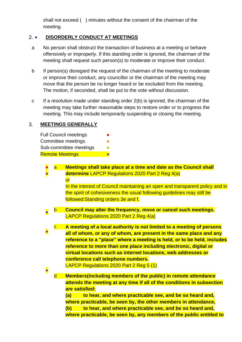shall not exceed ( ) minutes without the consent of the chairman of the meeting.

#### 2. **• DISORDERLY CONDUCT AT MEETINGS**

- a No person shall obstruct the transaction of business at a meeting or behave offensively or improperly. If this standing order is ignored, the chairman of the meeting shall request such person(s) to moderate or improve their conduct.
- b If person(s) disregard the request of the chairman of the meeting to moderate or improve their conduct, any councillor or the chairman of the meeting may move that the person be no longer heard or be excluded from the meeting. The motion, if seconded, shall be put to the vote without discussion.
- c If a resolution made under standing order 2(b) is ignored, the chairman of the meeting may take further reasonable steps to restore order or to progress the meeting. This may include temporarily suspending or closing the meeting.

#### $3<sub>1</sub>$ **MEETINGS GENERALLY**

| <b>Full Council meetings</b> | ● |
|------------------------------|---|
| Committee meetings           |   |
| Sub-committee meetings       |   |
| <b>Remote Meetings</b>       |   |

| $\bullet$ | a                       | <b>Meetings shall take place at a time and date as the Council shall</b>     |
|-----------|-------------------------|------------------------------------------------------------------------------|
|           |                         | determine LAPCP Regulations 2020 Part 2 Reg 4(a)                             |
|           |                         | <u>or</u>                                                                    |
|           |                         | In the interest of Council maintaining an open and transparent policy and in |
|           |                         | the spirit of cohesiveness the usual following guidelines may still be       |
|           |                         | followed: Standing orders 3e and f.                                          |
|           | n                       | Council may alter the frequency, move or cancel such meetings.               |
|           |                         | <b>LAPCP Regulations 2020 Part 2 Reg 4(a)</b>                                |
|           | $\overline{\mathbf{C}}$ | A meeting of a local authority is not limited to a meeting of persons        |
| $\bullet$ |                         | all of whom, or any of whom, are present in the same place and any           |
|           |                         | reference to a "place" where a meeting is held, or to be held, includes      |
|           |                         | reference to more than one place including electronic, digital or            |
|           |                         | virtual locations such as internet locations, web addresses or               |
|           |                         | conference call telephone numbers.                                           |
|           |                         | LAPCP Regulations 2020 Part 2 Reg 5 (1)                                      |
| $\bullet$ |                         |                                                                              |
|           | d                       | <b>Members (including members of the public) in remote attendance</b>        |
|           |                         | attends the meeting at any time if all of the conditions in subsection       |
|           |                         | are satisfied:                                                               |
|           |                         | to hear, and where practicable see, and be so heard and,<br>(a)              |
|           |                         | where practicable, be seen by, the other members in attendance,              |
|           |                         | (b)<br>to hear, and where practicable see, and be so heard and,              |
|           |                         | where practicable, be seen by, any members of the public entitled to         |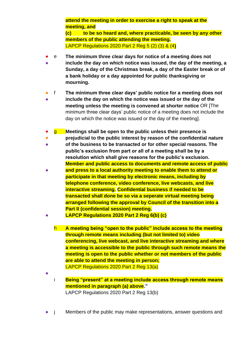**attend the meeting in order to exercise a right to speak at the meeting, and**

**(c) to be so heard and, where practicable, be seen by any other members of the public attending the meeting.** LAPCP Regulations 2020 Part 2 Reg 5 (2) (3) & (4**)**

- e **The minimum three clear days for notice of a meeting does not**
- **include the day on which notice was issued, the day of the meeting, a Sunday, a day of the Christmas break, a day of the Easter break or of a bank holiday or a day appointed for public thanksgiving or mourning.**
- f **The minimum three clear days' public notice for a meeting does not**
- **include the day on which the notice was issued or the day of the meeting unless the meeting is convened at shorter notice** OR [The minimum three clear days' public notice of a meeting does not include the day on which the notice was issued or the day of the meeting].
- g **Meetings shall be open to the public unless their presence is**
- **prejudicial to the public interest by reason of the confidential nature**
- 。<br>一 **of the business to be transacted or for other special reasons. The public's exclusion from part or all of a meeting shall be by a resolution which shall give reasons for the public's exclusion. Member and public access to documents and remote access of public**
- **and press to a local authority meeting to enable them to attend or participate in that meeting by electronic means, including by telephone conference, video conference, live webcasts, and live interactive streaming. Confidential business if needed to be transacted shall done be so via a seperate virtual meeting being arranged following the approval by Council of the transition into a Part II (confidential session) meeting.**
- **LAPCP Regulations 2020 Part 2 Reg 6(b) (c)**
	- h **A meeting being "open to the public" include access to the meeting through remote means including (but not limited to) video conferencing, live webcast, and live interactive streaming and where a meeting is accessible to the public through such remote means the meeting is open to the public whether or not members of the public are able to attend the meeting in person;**  LAPCP Regulations 2020 Part 2 Reg 13(a)

●

i **Being "present" at a meeting include access through remote means mentioned in paragraph (a) above."**

LAPCP Regulations 2020 Part 2 Reg 13(b)

● j Members of the public may make representations, answer questions and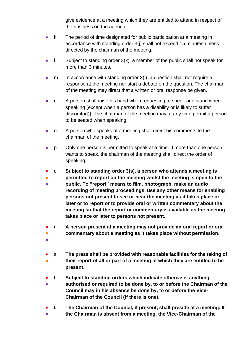give evidence at a meeting which they are entitled to attend in respect of the business on the agenda.

- k The period of time designated for public participation at a meeting in accordance with standing order 3(j) shall not exceed 15 minutes unless directed by the chairman of the meeting.
- $\blacksquare$  Subject to standing order 3(k), a member of the public shall not speak for more than 3 minutes.
- $m$  In accordance with standing order 3(j), a question shall not require a response at the meeting nor start a debate on the question. The chairman of the meeting may direct that a written or oral response be given.
- n A person shall raise his hand when requesting to speak and stand when speaking (except when a person has a disability or is likely to suffer discomfort)]. The chairman of the meeting may at any time permit a person to be seated when speaking.
- o A person who speaks at a meeting shall direct his comments to the chairman of the meeting.
- p Only one person is permitted to speak at a time. If more than one person wants to speak, the chairman of the meeting shall direct the order of speaking.
- q **Subject to standing order 3(s), a person who attends a meeting is**
- **permitted to report on the meeting whilst the meeting is open to the**
- **public. To "report" means to film, photograph, make an audio recording of meeting proceedings, use any other means for enabling persons not present to see or hear the meeting as it takes place or later or to report or to provide oral or written commentary about the meeting so that the report or commentary is available as the meeting takes place or later to persons not present.**
- r **A person present at a meeting may not provide an oral report or oral**
- **commentary about a meeting as it takes place without permission.**
- ●
- s **The press shall be provided with reasonable facilities for the taking of**
- **their report of all or part of a meeting at which they are entitled to be present.**
- t **Subject to standing orders which indicate otherwise, anything**
- **authorised or required to be done by, to or before the Chairman of the Council may in his absence be done by, to or before the Vice-Chairman of the Council (if there is one).**
- u **The Chairman of the Council, if present, shall preside at a meeting. If**
- **the Chairman is absent from a meeting, the Vice-Chairman of the**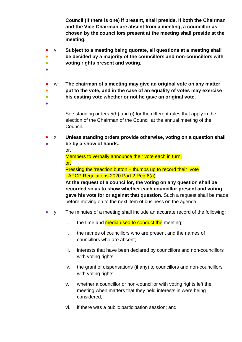**Council (if there is one) if present, shall preside. If both the Chairman and the Vice-Chairman are absent from a meeting, a councillor as chosen by the councillors present at the meeting shall preside at the meeting.**

- v **Subject to a meeting being quorate, all questions at a meeting shall**
- **be decided by a majority of the councillors and non-councillors with**
- $\bullet$ **voting rights present and voting.**
- ●
- w **The chairman of a meeting may give an original vote on any matter**
- **put to the vote, and in the case of an equality of votes may exercise**
- **his casting vote whether or not he gave an original vote.**
- ●

See standing orders 5(h) and (i) for the different rules that apply in the election of the Chairman of the Council at the annual meeting of the Council.

● ● x **Unless standing orders provide otherwise, voting on a question shall be by a show of hands.**

or,

Members to verbally announce their vote each in turn, or,

Pressing the 'reaction button – thumbs up to record their vote LAPCP Regulations 2020 Part 2 Reg 6(a)

**At the request of a councillor, the voting on any question shall be recorded so as to show whether each councillor present and voting gave his vote for or against that question.** Such a request shall be made before moving on to the next item of business on the agenda.

- y The minutes of a meeting shall include an accurate record of the following:
	- i. the time and **media used to conduct the** meeting;
	- ii. the names of councillors who are present and the names of councillors who are absent;
	- iii. interests that have been declared by councillors and non-councillors with voting rights;
	- iv. the grant of dispensations (if any) to councillors and non-councillors with voting rights;
	- v. whether a councillor or non-councillor with voting rights left the meeting when matters that they held interests in were being considered;
	- vi. if there was a public participation session; and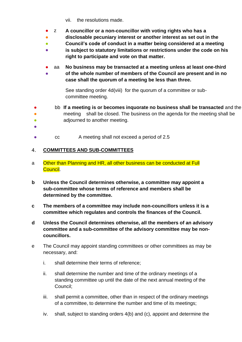- vii. the resolutions made.
- z **A councillor or a non-councillor with voting rights who has a**
- **disclosable pecuniary interest or another interest as set out in the**
- $\bullet$ **Council's code of conduct in a matter being considered at a meeting**
- **is subject to statutory limitations or restrictions under the code on his right to participate and vote on that matter.**
- ● aa **No business may be transacted at a meeting unless at least one-third of the whole number of members of the Council are present and in no case shall the quorum of a meeting be less than three.**

See standing order 4d(viii) for the quorum of a committee or subcommittee meeting.

- bb **If a meeting is or becomes inquorate no business shall be transacted** and the
- meeting shall be closed. The business on the agenda for the meeting shall be
- $\bullet$ adjourned to another meeting.
- ●
- cc A meeting shall not exceed a period of 2.5

#### **COMMITTEES AND SUB-COMMITTEES**  $\overline{4}$ .

- a Other than Planning and HR, all other business can be conducted at Full Council.
- **b Unless the Council determines otherwise, a committee may appoint a sub-committee whose terms of reference and members shall be determined by the committee.**
- **c The members of a committee may include non-councillors unless it is a committee which regulates and controls the finances of the Council.**
- **d Unless the Council determines otherwise, all the members of an advisory committee and a sub-committee of the advisory committee may be noncouncillors.**
- e The Council may appoint standing committees or other committees as may be necessary, and:
	- i. shall determine their terms of reference;
	- ii. shall determine the number and time of the ordinary meetings of a standing committee up until the date of the next annual meeting of the Council;
	- iii. shall permit a committee, other than in respect of the ordinary meetings of a committee, to determine the number and time of its meetings;
	- iv. shall, subject to standing orders 4(b) and (c), appoint and determine the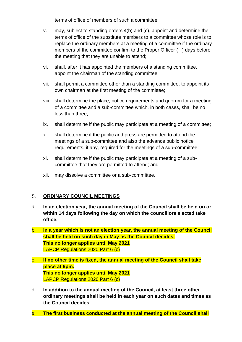terms of office of members of such a committee;

- v. may, subject to standing orders 4(b) and (c), appoint and determine the terms of office of the substitute members to a committee whose role is to replace the ordinary members at a meeting of a committee if the ordinary members of the committee confirm to the Proper Officer ( ) days before the meeting that they are unable to attend;
- vi. shall, after it has appointed the members of a standing committee, appoint the chairman of the standing committee;
- vii. shall permit a committee other than a standing committee, to appoint its own chairman at the first meeting of the committee;
- viii. shall determine the place, notice requirements and quorum for a meeting of a committee and a sub-committee which, in both cases, shall be no less than three;
- ix. shall determine if the public may participate at a meeting of a committee;
- x. shall determine if the public and press are permitted to attend the meetings of a sub-committee and also the advance public notice requirements, if any, required for the meetings of a sub-committee;
- xi. shall determine if the public may participate at a meeting of a subcommittee that they are permitted to attend; and
- xii. may dissolve a committee or a sub-committee.

#### $5<sub>1</sub>$ **ORDINARY COUNCIL MEETINGS**

- a **In an election year, the annual meeting of the Council shall be held on or within 14 days following the day on which the councillors elected take office.**
- b **In a year which is not an election year, the annual meeting of the Council shall be held on such day in May as the Council decides. This no longer applies until May 2021** LAPCP Regulations 2020 Part 6 (c)
- c **If no other time is fixed, the annual meeting of the Council shall take place at 6pm. This no longer applies until May 2021** LAPCP Regulations 2020 Part 6 (c)
- d **In addition to the annual meeting of the Council, at least three other ordinary meetings shall be held in each year on such dates and times as the Council decides.**
- e **The first business conducted at the annual meeting of the Council shall**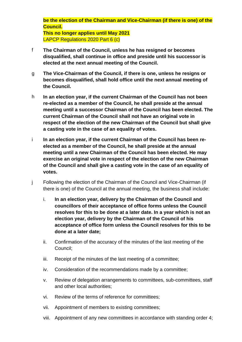**be the election of the Chairman and Vice-Chairman (if there is one) of the Council.**

**This no longer applies until May 2021** LAPCP Regulations 2020 Part 6 (c)

- f **The Chairman of the Council, unless he has resigned or becomes disqualified, shall continue in office and preside until his successor is elected at the next annual meeting of the Council.**
- g **The Vice-Chairman of the Council, if there is one, unless he resigns or becomes disqualified, shall hold office until the next annual meeting of the Council.**
- h **In an election year, if the current Chairman of the Council has not been re-elected as a member of the Council, he shall preside at the annual meeting until a successor Chairman of the Council has been elected. The current Chairman of the Council shall not have an original vote in respect of the election of the new Chairman of the Council but shall give a casting vote in the case of an equality of votes.**
- i **In an election year, if the current Chairman of the Council has been reelected as a member of the Council, he shall preside at the annual meeting until a new Chairman of the Council has been elected. He may exercise an original vote in respect of the election of the new Chairman of the Council and shall give a casting vote in the case of an equality of votes.**
- j Following the election of the Chairman of the Council and Vice-Chairman (if there is one) of the Council at the annual meeting, the business shall include:
	- i. **In an election year, delivery by the Chairman of the Council and councillors of their acceptance of office forms unless the Council resolves for this to be done at a later date. In a year which is not an election year, delivery by the Chairman of the Council of his acceptance of office form unless the Council resolves for this to be done at a later date;**
	- ii. Confirmation of the accuracy of the minutes of the last meeting of the Council;
	- iii. Receipt of the minutes of the last meeting of a committee;
	- iv. Consideration of the recommendations made by a committee;
	- v. Review of delegation arrangements to committees, sub-committees, staff and other local authorities;
	- vi. Review of the terms of reference for committees;
	- vii. Appointment of members to existing committees;
	- viii. Appointment of any new committees in accordance with standing order 4;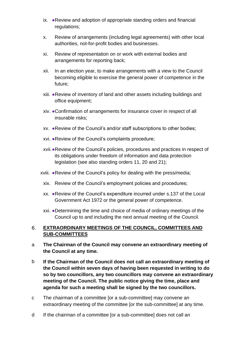- ix. ●Review and adoption of appropriate standing orders and financial regulations;
- x. Review of arrangements (including legal agreements) with other local authorities, not-for-profit bodies and businesses.
- xi. Review of representation on or work with external bodies and arrangements for reporting back;
- xii. In an election year, to make arrangements with a view to the Council becoming eligible to exercise the general power of competence in the future;
- xiii. ●Review of inventory of land and other assets including buildings and office equipment;
- xiv. ●Confirmation of arrangements for insurance cover in respect of all insurable risks;
- xv. ●Review of the Council's and/or staff subscriptions to other bodies;
- xvi. ●Review of the Council's complaints procedure;
- xvii.●Review of the Council's policies, procedures and practices in respect of its obligations under freedom of information and data protection legislation (see also standing orders 11, 20 and 21);
- xviii. ●Review of the Council's policy for dealing with the press/media;
	- xix. Review of the Council's employment policies and procedures;
	- xx. ●Review of the Council's expenditure incurred under s.137 of the Local Government Act 1972 or the general power of competence.
	- xxi. ●Determining the time and choice of media of ordinary meetings of the Council up to and including the next annual meeting of the Council.

#### 6. **EXTRAORDINARY MEETINGS OF THE COUNCIL, COMMITTEES AND SUB-COMMITTEES**

- a **The Chairman of the Council may convene an extraordinary meeting of the Council at any time.**
- b **If the Chairman of the Council does not call an extraordinary meeting of the Council within seven days of having been requested in writing to do so by two councillors, any two councillors may convene an extraordinary meeting of the Council. The public notice giving the time, place and agenda for such a meeting shall be signed by the two councillors.**
- c The chairman of a committee [or a sub-committee] may convene an extraordinary meeting of the committee [or the sub-committee] at any time.
- d If the chairman of a committee [or a sub-committee] does not call an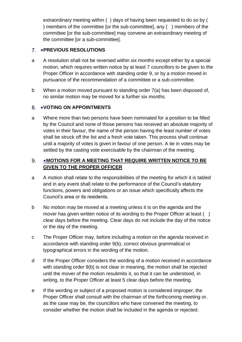extraordinary meeting within ( ) days of having been requested to do so by ( ) members of the committee [or the sub-committee], any ( ) members of the committee [or the sub-committee] may convene an extraordinary meeting of the committee [or a sub-committee].

## ●**PREVIOUS RESOLUTIONS**

- a A resolution shall not be reversed within six months except either by a special motion, which requires written notice by at least 7 councillors to be given to the Proper Officer in accordance with standing order 9, or by a motion moved in pursuance of the recommendation of a committee or a sub-committee.
- b When a motion moved pursuant to standing order 7(a) has been disposed of, no similar motion may be moved for a further six months.

#### 8. ●**VOTING ON APPOINTMENTS**

a Where more than two persons have been nominated for a position to be filled by the Council and none of those persons has received an absolute majority of votes in their favour, the name of the person having the least number of votes shall be struck off the list and a fresh vote taken. This process shall continue until a majority of votes is given in favour of one person. A tie in votes may be settled by the casting vote exercisable by the chairman of the meeting.

#### 9. ●**MOTIONS FOR A MEETING THAT REQUIRE WRITTEN NOTICE TO BE GIVEN TO THE PROPER OFFICER**

- a A motion shall relate to the responsibilities of the meeting for which it is tabled and in any event shall relate to the performance of the Council's statutory functions, powers and obligations or an issue which specifically affects the Council's area or its residents.
- b No motion may be moved at a meeting unless it is on the agenda and the mover has given written notice of its wording to the Proper Officer at least () clear days before the meeting. Clear days do not include the day of the notice or the day of the meeting.
- c The Proper Officer may, before including a motion on the agenda received in accordance with standing order 9(b), correct obvious grammatical or typographical errors in the wording of the motion.
- d If the Proper Officer considers the wording of a motion received in accordance with standing order 9(b) is not clear in meaning, the motion shall be rejected until the mover of the motion resubmits it, so that it can be understood, in writing, to the Proper Officer at least 5 clear days before the meeting.
- e If the wording or subject of a proposed motion is considered improper, the Proper Officer shall consult with the chairman of the forthcoming meeting or, as the case may be, the councillors who have convened the meeting, to consider whether the motion shall be included in the agenda or rejected.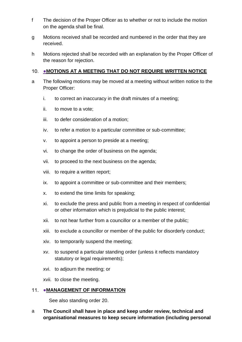- f The decision of the Proper Officer as to whether or not to include the motion on the agenda shall be final.
- g Motions received shall be recorded and numbered in the order that they are received.
- h Motions rejected shall be recorded with an explanation by the Proper Officer of the reason for rejection.

#### **10. ●MOTIONS AT A MEETING THAT DO NOT REQUIRE WRITTEN NOTICE**

- a The following motions may be moved at a meeting without written notice to the Proper Officer:
	- i. to correct an inaccuracy in the draft minutes of a meeting;
	- ii. to move to a vote;
	- iii. to defer consideration of a motion;
	- iv. to refer a motion to a particular committee or sub-committee;
	- v. to appoint a person to preside at a meeting;
	- vi. to change the order of business on the agenda;
	- vii. to proceed to the next business on the agenda;
	- viii. to require a written report;
	- ix. to appoint a committee or sub-committee and their members;
	- x. to extend the time limits for speaking;
	- xi. to exclude the press and public from a meeting in respect of confidential or other information which is prejudicial to the public interest;
	- xii. to not hear further from a councillor or a member of the public;
	- xiii. to exclude a councillor or member of the public for disorderly conduct;
	- xiv. to temporarily suspend the meeting;
	- xv. to suspend a particular standing order (unless it reflects mandatory statutory or legal requirements);
	- xvi. to adjourn the meeting; or

xvii. to close the meeting.

## 11. • MANAGEMENT OF INFORMATION

See also standing order 20.

a **The Council shall have in place and keep under review, technical and organisational measures to keep secure information (including personal**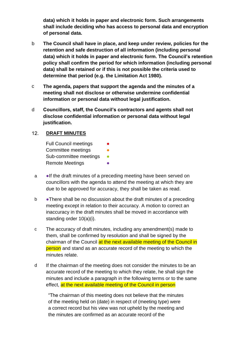**data) which it holds in paper and electronic form. Such arrangements shall include deciding who has access to personal data and encryption of personal data.**

- b **The Council shall have in place, and keep under review, policies for the retention and safe destruction of all information (including personal data) which it holds in paper and electronic form. The Council's retention policy shall confirm the period for which information (including personal data) shall be retained or if this is not possible the criteria used to determine that period (e.g. the Limitation Act 1980).**
- c **The agenda, papers that support the agenda and the minutes of a meeting shall not disclose or otherwise undermine confidential information or personal data without legal justification.**
- d **Councillors, staff, the Council's contractors and agents shall not disclose confidential information or personal data without legal justification.**

#### $12.$ **DRAFT MINUTES**

- Full Council meetings Committee meetings **•** Sub-committee meetings • **Remote Meetings**
- a **If the draft minutes of a preceding meeting have been served on** councillors with the agenda to attend the meeting at which they are due to be approved for accuracy, they shall be taken as read.
- b There shall be no discussion about the draft minutes of a preceding meeting except in relation to their accuracy. A motion to correct an inaccuracy in the draft minutes shall be moved in accordance with standing order 10(a)(i).
- c The accuracy of draft minutes, including any amendment(s) made to them, shall be confirmed by resolution and shall be signed by the chairman of the Council at the next available meeting of the Council in person and stand as an accurate record of the meeting to which the minutes relate.
- d If the chairman of the meeting does not consider the minutes to be an accurate record of the meeting to which they relate, he shall sign the minutes and include a paragraph in the following terms or to the same effect, at the next available meeting of the Council in person

"The chairman of this meeting does not believe that the minutes of the meeting held on (date) in respect of (meeting type) were a correct record but his view was not upheld by the meeting and the minutes are confirmed as an accurate record of the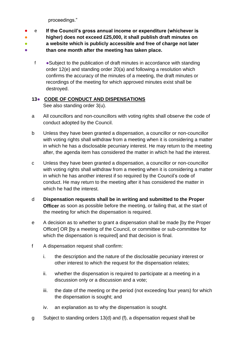proceedings."

- e **If the Council's gross annual income or expenditure (whichever is**
- **higher) does not exceed £25,000, it shall publish draft minutes on**
- **a website which is publicly accessible and free of charge not later**
- **than one month after the meeting has taken place.**
	- f ●Subject to the publication of draft minutes in accordance with standing order 12(e) and standing order 20(a) and following a resolution which confirms the accuracy of the minutes of a meeting, the draft minutes or recordings of the meeting for which approved minutes exist shall be destroyed.

## **13**● **CODE OF CONDUCT AND DISPENSATIONS**

See also standing order 3(u).

- a All councillors and non-councillors with voting rights shall observe the code of conduct adopted by the Council.
- b Unless they have been granted a dispensation, a councillor or non-councillor with voting rights shall withdraw from a meeting when it is considering a matter in which he has a disclosable pecuniary interest. He may return to the meeting after, the agenda item has considered the matter in which he had the interest.
- c Unless they have been granted a dispensation, a councillor or non-councillor with voting rights shall withdraw from a meeting when it is considering a matter in which he has another interest if so required by the Council's code of conduct. He may return to the meeting after it has considered the matter in which he had the interest.
- d **Dispensation requests shall be in writing and submitted to the Proper Officer** as soon as possible before the meeting, or failing that, at the start of the meeting for which the dispensation is required.
- e A decision as to whether to grant a dispensation shall be made [by the Proper Officer] OR [by a meeting of the Council, or committee or sub-committee for which the dispensation is required] and that decision is final.
- f A dispensation request shall confirm:
	- i. the description and the nature of the disclosable pecuniary interest or other interest to which the request for the dispensation relates;
	- ii. whether the dispensation is required to participate at a meeting in a discussion only or a discussion and a vote;
	- iii. the date of the meeting or the period (not exceeding four years) for which the dispensation is sought; and
	- iv. an explanation as to why the dispensation is sought.
- g Subject to standing orders 13(d) and (f), a dispensation request shall be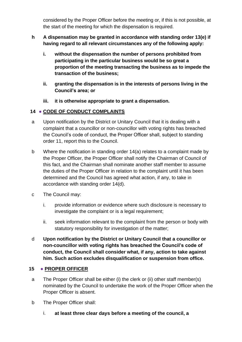considered by the Proper Officer before the meeting or, if this is not possible, at the start of the meeting for which the dispensation is required.

- **h A dispensation may be granted in accordance with standing order 13(e) if having regard to all relevant circumstances any of the following apply:**
	- **i. without the dispensation the number of persons prohibited from participating in the particular business would be so great a proportion of the meeting transacting the business as to impede the transaction of the business;**
	- **ii. granting the dispensation is in the interests of persons living in the Council's area; or**
	- **iii. it is otherwise appropriate to grant a dispensation.**

## **14** ● **CODE OF CONDUCT COMPLAINTS**

- a Upon notification by the District or Unitary Council that it is dealing with a complaint that a councillor or non-councillor with voting rights has breached the Council's code of conduct, the Proper Officer shall, subject to standing order 11, report this to the Council.
- b Where the notification in standing order 14(a) relates to a complaint made by the Proper Officer, the Proper Officer shall notify the Chairman of Council of this fact, and the Chairman shall nominate another staff member to assume the duties of the Proper Officer in relation to the complaint until it has been determined and the Council has agreed what action, if any, to take in accordance with standing order 14(d).
- c The Council may:
	- i. provide information or evidence where such disclosure is necessary to investigate the complaint or is a legal requirement;
	- ii. seek information relevant to the complaint from the person or body with statutory responsibility for investigation of the matter;
- d **Upon notification by the District or Unitary Council that a councillor or non-councillor with voting rights has breached the Council's code of conduct, the Council shall consider what, if any, action to take against him. Such action excludes disqualification or suspension from office.**

## **15** ● **PROPER OFFICER**

- a The Proper Officer shall be either (i) the clerk or (ii) other staff member(s) nominated by the Council to undertake the work of the Proper Officer when the Proper Officer is absent.
- b The Proper Officer shall:
	- i. **at least three clear days before a meeting of the council, a**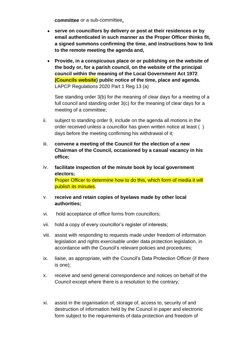**committee** or a sub-committee**,**

- **serve on councillors by delivery or post at their residences or by email authenticated in such manner as the Proper Officer thinks fit, a signed summons confirming the time, and instructions how to link to the remote meeting the agenda and,**
- **Provide, in a conspicuous place or or publishing on the website of the body or, for a parish council, on the website of the principal council within the meaning of the Local Government Act 1972 (Councils website) public notice of the time, place and agenda.** LAPCP Regulations 2020 Part 1 Reg 13 (a)

See standing order 3(b) for the meaning of clear days for a meeting of a full council and standing order 3(c) for the meaning of clear days for a meeting of a committee;

- ii. subject to standing order 9, include on the agenda all motions in the order received unless a councillor has given written notice at least ( ) days before the meeting confirming his withdrawal of it;
- iii. **convene a meeting of the Council for the election of a new Chairman of the Council, occasioned by a casual vacancy in his office;**
- iv. **facilitate inspection of the minute book by local government electors;** Proper Officer to determine how to do this, which form of media it will publish its minutes.
- v. **receive and retain copies of byelaws made by other local authorities;**
- vi. hold acceptance of office forms from councillors;
- vii. hold a copy of every councillor's register of interests;
- viii. assist with responding to requests made under freedom of information legislation and rights exercisable under data protection legislation, in accordance with the Council's relevant policies and procedures;
- ix. liaise, as appropriate, with the Council's Data Protection Officer (if there is one);
- x. receive and send general correspondence and notices on behalf of the Council except where there is a resolution to the contrary;
- xi. assist in the organisation of, storage of, access to, security of and destruction of information held by the Council in paper and electronic form subject to the requirements of data protection and freedom of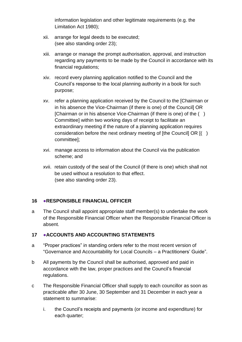information legislation and other legitimate requirements (e.g. the Limitation Act 1980);

- xii. arrange for legal deeds to be executed; (see also standing order 23);
- xiii. arrange or manage the prompt authorisation, approval, and instruction regarding any payments to be made by the Council in accordance with its financial regulations;
- xiv. record every planning application notified to the Council and the Council's response to the local planning authority in a book for such purpose;
- xv. refer a planning application received by the Council to the [Chairman or in his absence the Vice-Chairman (if there is one) of the Council] OR [Chairman or in his absence Vice-Chairman (if there is one) of the ( ) Committee] within two working days of receipt to facilitate an extraordinary meeting if the nature of a planning application requires consideration before the next ordinary meeting of [the Council] OR [( ) committee];
- xvi. manage access to information about the Council via the publication scheme; and
- xvii. retain custody of the seal of the Council (if there is one) which shall not be used without a resolution to that effect. (see also standing order 23).

#### **16** ●**RESPONSIBLE FINANCIAL OFFICER**

a The Council shall appoint appropriate staff member(s) to undertake the work of the Responsible Financial Officer when the Responsible Financial Officer is absent.

#### **17** ●**ACCOUNTS AND ACCOUNTING STATEMENTS**

- a "Proper practices" in standing orders refer to the most recent version of "Governance and Accountability for Local Councils – a Practitioners' Guide".
- b All payments by the Council shall be authorised, approved and paid in accordance with the law, proper practices and the Council's financial regulations.
- c The Responsible Financial Officer shall supply to each councillor as soon as practicable after 30 June, 30 September and 31 December in each year a statement to summarise:
	- i. the Council's receipts and payments (or income and expenditure) for each quarter;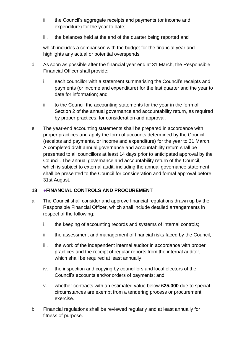- ii. the Council's aggregate receipts and payments (or income and expenditure) for the year to date;
- iii. the balances held at the end of the quarter being reported and

which includes a comparison with the budget for the financial year and highlights any actual or potential overspends.

- d As soon as possible after the financial year end at 31 March, the Responsible Financial Officer shall provide:
	- i. each councillor with a statement summarising the Council's receipts and payments (or income and expenditure) for the last quarter and the year to date for information; and
	- ii. to the Council the accounting statements for the year in the form of Section 2 of the annual governance and accountability return, as required by proper practices, for consideration and approval.
- e The year-end accounting statements shall be prepared in accordance with proper practices and apply the form of accounts determined by the Council (receipts and payments, or income and expenditure) for the year to 31 March. A completed draft annual governance and accountability return shall be presented to all councillors at least 14 days prior to anticipated approval by the Council. The annual governance and accountability return of the Council, which is subject to external audit, including the annual governance statement, shall be presented to the Council for consideration and formal approval before 31st August.

#### **18 ●FINANCIAL CONTROLS AND PROCUREMENT**

- a. The Council shall consider and approve financial regulations drawn up by the Responsible Financial Officer, which shall include detailed arrangements in respect of the following:
	- i. the keeping of accounting records and systems of internal controls;
	- ii. the assessment and management of financial risks faced by the Council;
	- iii. the work of the independent internal auditor in accordance with proper practices and the receipt of regular reports from the internal auditor, which shall be required at least annually;
	- iv. the inspection and copying by councillors and local electors of the Council's accounts and/or orders of payments; and
	- v. whether contracts with an estimated value below **£25,000** due to special circumstances are exempt from a tendering process or procurement exercise.
- b. Financial regulations shall be reviewed regularly and at least annually for fitness of purpose.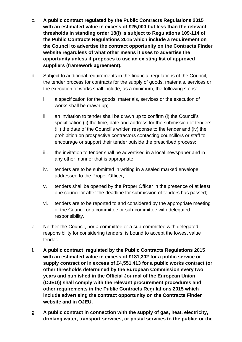- c. **A public contract regulated by the Public Contracts Regulations 2015 with an estimated value in excess of £25,000 but less than the relevant thresholds in standing order 18(f) is subject to Regulations 109-114 of the Public Contracts Regulations 2015 which include a requirement on the Council to advertise the contract opportunity on the Contracts Finder website regardless of what other means it uses to advertise the opportunity unless it proposes to use an existing list of approved suppliers (framework agreement).**
- d. Subject to additional requirements in the financial regulations of the Council, the tender process for contracts for the supply of goods, materials, services or the execution of works shall include, as a minimum, the following steps:
	- i. a specification for the goods, materials, services or the execution of works shall be drawn up;
	- ii. an invitation to tender shall be drawn up to confirm (i) the Council's specification (ii) the time, date and address for the submission of tenders (iii) the date of the Council's written response to the tender and (iv) the prohibition on prospective contractors contacting councillors or staff to encourage or support their tender outside the prescribed process;
	- iii. the invitation to tender shall be advertised in a local newspaper and in any other manner that is appropriate;
	- iv. tenders are to be submitted in writing in a sealed marked envelope addressed to the Proper Officer;
	- v. tenders shall be opened by the Proper Officer in the presence of at least one councillor after the deadline for submission of tenders has passed;
	- vi. tenders are to be reported to and considered by the appropriate meeting of the Council or a committee or sub-committee with delegated responsibility.
- e. Neither the Council, nor a committee or a sub-committee with delegated responsibility for considering tenders, is bound to accept the lowest value tender.
- f. **A public contract regulated by the Public Contracts Regulations 2015 with an estimated value in excess of £181,302 for a public service or supply contract or in excess of £4,551,413 for a public works contract (or other thresholds determined by the European Commission every two years and published in the Official Journal of the European Union (OJEU)) shall comply with the relevant procurement procedures and other requirements in the Public Contracts Regulations 2015 which include advertising the contract opportunity on the Contracts Finder website and in OJEU.**
- g. **A public contract in connection with the supply of gas, heat, electricity, drinking water, transport services, or postal services to the public; or the**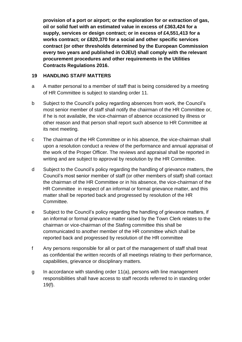**provision of a port or airport; or the exploration for or extraction of gas, oil or solid fuel with an estimated value in excess of £363,424 for a supply, services or design contract; or in excess of £4,551,413 for a works contract; or £820,370 for a social and other specific services contract (or other thresholds determined by the European Commission every two years and published in OJEU) shall comply with the relevant procurement procedures and other requirements in the Utilities Contracts Regulations 2016.**

#### **19 HANDLING STAFF MATTERS**

- a A matter personal to a member of staff that is being considered by a meeting of HR Committee is subject to standing order 11.
- b Subject to the Council's policy regarding absences from work, the Council's most senior member of staff shall notify the chairman of the HR Committee or, if he is not available, the vice-chairman of absence occasioned by illness or other reason and that person shall report such absence to HR Committee at its next meeting.
- c The chairman of the HR Committee or in his absence, the vice-chairman shall upon a resolution conduct a review of the performance and annual appraisal of the work of the Proper Officer. The reviews and appraisal shall be reported in writing and are subject to approval by resolution by the HR Committee.
- d Subject to the Council's policy regarding the handling of grievance matters, the Council's most senior member of staff (or other members of staff) shall contact the chairman of the HR Committee or in his absence, the vice-chairman of the HR Committee in respect of an informal or formal grievance matter, and this matter shall be reported back and progressed by resolution of the HR Committee.
- e Subject to the Council's policy regarding the handling of grievance matters, if an informal or formal grievance matter raised by the Town Clerk relates to the chairman or vice-chairman of the Stafing committee this shall be communicated to another member of the HR committee which shall be reported back and progressed by resolution of the HR committee
- f Any persons responsible for all or part of the management of staff shall treat as confidential the written records of all meetings relating to their performance, capabilities, grievance or disciplinary matters.
- g In accordance with standing order 11(a), persons with line management responsibilities shall have access to staff records referred to in standing order 19(f).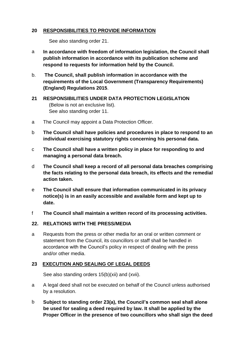#### **20 RESPONSIBILITIES TO PROVIDE INFORMATION**

See also standing order 21.

- a **In accordance with freedom of information legislation, the Council shall publish information in accordance with its publication scheme and respond to requests for information held by the Council.**
- b. **The Council, shall publish information in accordance with the requirements of the Local Government (Transparency Requirements) (England) Regulations 2015**.

#### **21 RESPONSIBILITIES UNDER DATA PROTECTION LEGISLATION**  (Below is not an exclusive list). See also standing order 11.

- a The Council may appoint a Data Protection Officer.
- b **The Council shall have policies and procedures in place to respond to an individual exercising statutory rights concerning his personal data.**
- c **The Council shall have a written policy in place for responding to and managing a personal data breach.**
- d **The Council shall keep a record of all personal data breaches comprising the facts relating to the personal data breach, its effects and the remedial action taken.**
- e **The Council shall ensure that information communicated in its privacy notice(s) is in an easily accessible and available form and kept up to date.**
- f **The Council shall maintain a written record of its processing activities.**

#### **22. RELATIONS WITH THE PRESS/MEDIA**

a Requests from the press or other media for an oral or written comment or statement from the Council, its councillors or staff shall be handled in accordance with the Council's policy in respect of dealing with the press and/or other media.

#### **23 EXECUTION AND SEALING OF LEGAL DEEDS**

See also standing orders 15(b)(xii) and (xvii).

- a A legal deed shall not be executed on behalf of the Council unless authorised by a resolution.
- b **Subject to standing order 23(a), the Council's common seal shall alone be used for sealing a deed required by law. It shall be applied by the Proper Officer in the presence of two councillors who shall sign the deed**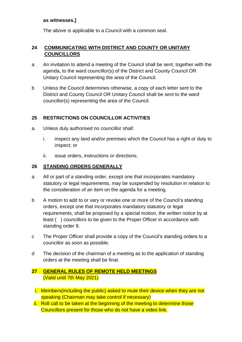#### **as witnesses.]**

The above is applicable to a Council with a common seal.

#### **24 COMMUNICATING WITH DISTRICT AND COUNTY OR UNITARY COUNCILLORS**

- a An invitation to attend a meeting of the Council shall be sent, together with the agenda, to the ward councillor(s) of the District and County Council OR Unitary Council representing the area of the Council.
- b Unless the Council determines otherwise, a copy of each letter sent to the District and County Council OR Unitary Council shall be sent to the ward councillor(s) representing the area of the Council.

#### **25 RESTRICTIONS ON COUNCILLOR ACTIVITIES**

- a. Unless duly authorised no councillor shall:
	- i. inspect any land and/or premises which the Council has a right or duty to inspect; or
	- ii. issue orders, instructions or directions.

#### **26 STANDING ORDERS GENERALLY**

- a All or part of a standing order, except one that incorporates mandatory statutory or legal requirements, may be suspended by resolution in relation to the consideration of an item on the agenda for a meeting.
- b A motion to add to or vary or revoke one or more of the Council's standing orders, except one that incorporates mandatory statutory or legal requirements, shall be proposed by a special motion, the written notice by at least ( ) councillors to be given to the Proper Officer in accordance with standing order 9.
- c The Proper Officer shall provide a copy of the Council's standing orders to a councillor as soon as possible.
- d The decision of the chairman of a meeting as to the application of standing orders at the meeting shall be final.

#### **27 GENERAL RULES OF REMOTE HELD MEETINGS** (Valid until 7th May 2021)

- i. Members(including the public) asked to mute their device when they are not speaking (Chairman may take control if necessary)
- ii. Roll call to be taken at the beginning of the meeting to determine those Councillors present for those who do not have a video link.